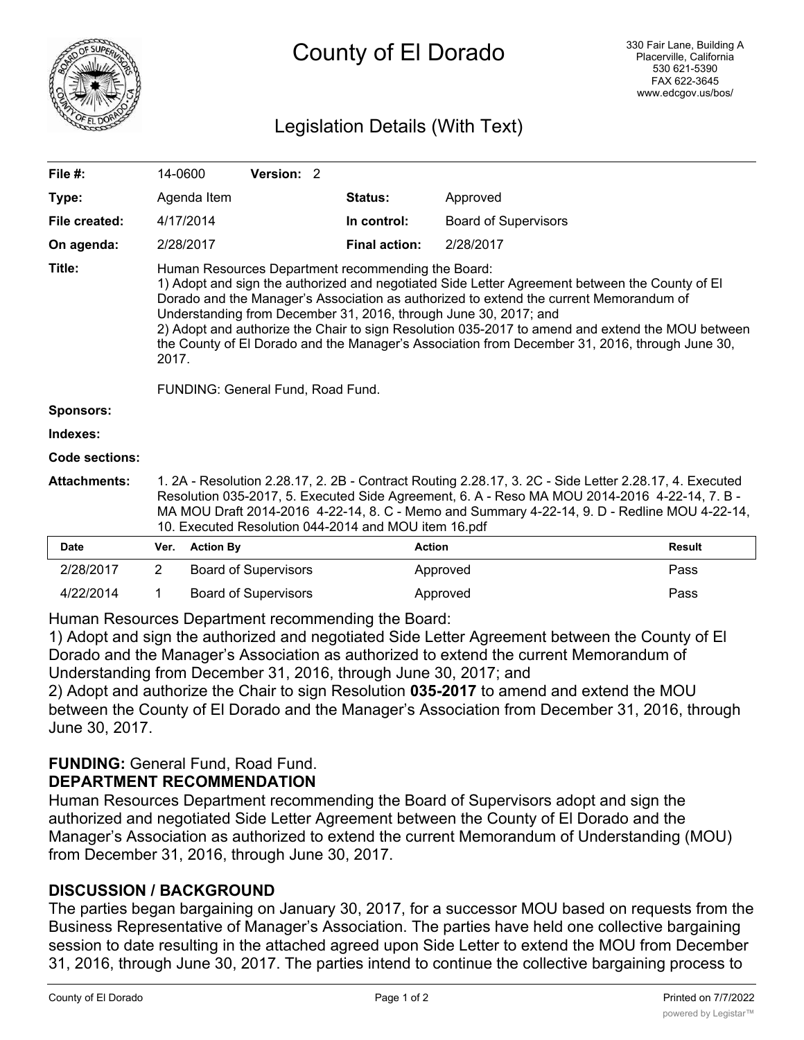

# Legislation Details (With Text)

| File $#$ :          | 14-0600                                                                                                                                                                                                                                                                                                                                                                                                                                                                                                                           |                  | Version: 2 |  |                      |                             |               |
|---------------------|-----------------------------------------------------------------------------------------------------------------------------------------------------------------------------------------------------------------------------------------------------------------------------------------------------------------------------------------------------------------------------------------------------------------------------------------------------------------------------------------------------------------------------------|------------------|------------|--|----------------------|-----------------------------|---------------|
| Type:               | Agenda Item                                                                                                                                                                                                                                                                                                                                                                                                                                                                                                                       |                  |            |  | <b>Status:</b>       | Approved                    |               |
| File created:       | 4/17/2014                                                                                                                                                                                                                                                                                                                                                                                                                                                                                                                         |                  |            |  | In control:          | <b>Board of Supervisors</b> |               |
| On agenda:          | 2/28/2017                                                                                                                                                                                                                                                                                                                                                                                                                                                                                                                         |                  |            |  | <b>Final action:</b> | 2/28/2017                   |               |
| Title:              | Human Resources Department recommending the Board:<br>1) Adopt and sign the authorized and negotiated Side Letter Agreement between the County of El<br>Dorado and the Manager's Association as authorized to extend the current Memorandum of<br>Understanding from December 31, 2016, through June 30, 2017; and<br>2) Adopt and authorize the Chair to sign Resolution 035-2017 to amend and extend the MOU between<br>the County of El Dorado and the Manager's Association from December 31, 2016, through June 30,<br>2017. |                  |            |  |                      |                             |               |
|                     | FUNDING: General Fund, Road Fund.                                                                                                                                                                                                                                                                                                                                                                                                                                                                                                 |                  |            |  |                      |                             |               |
| <b>Sponsors:</b>    |                                                                                                                                                                                                                                                                                                                                                                                                                                                                                                                                   |                  |            |  |                      |                             |               |
| Indexes:            |                                                                                                                                                                                                                                                                                                                                                                                                                                                                                                                                   |                  |            |  |                      |                             |               |
| Code sections:      |                                                                                                                                                                                                                                                                                                                                                                                                                                                                                                                                   |                  |            |  |                      |                             |               |
| <b>Attachments:</b> | 1. 2A - Resolution 2.28.17, 2. 2B - Contract Routing 2.28.17, 3. 2C - Side Letter 2.28.17, 4. Executed<br>Resolution 035-2017, 5. Executed Side Agreement, 6. A - Reso MA MOU 2014-2016 4-22-14, 7. B -<br>MA MOU Draft 2014-2016 4-22-14, 8. C - Memo and Summary 4-22-14, 9. D - Redline MOU 4-22-14,<br>10. Executed Resolution 044-2014 and MOU item 16.pdf                                                                                                                                                                   |                  |            |  |                      |                             |               |
| Date                | Ver.                                                                                                                                                                                                                                                                                                                                                                                                                                                                                                                              | <b>Action By</b> |            |  | <b>Action</b>        |                             | <b>Result</b> |

| Date      | ver. | <b>Action By</b>     | Action   | Result |
|-----------|------|----------------------|----------|--------|
| 2/28/2017 |      | Board of Supervisors | Approved | Pass   |
| 4/22/2014 |      | Board of Supervisors | Approved | Pass   |

Human Resources Department recommending the Board:

1) Adopt and sign the authorized and negotiated Side Letter Agreement between the County of El Dorado and the Manager's Association as authorized to extend the current Memorandum of Understanding from December 31, 2016, through June 30, 2017; and

2) Adopt and authorize the Chair to sign Resolution **035-2017** to amend and extend the MOU between the County of El Dorado and the Manager's Association from December 31, 2016, through June 30, 2017.

### **FUNDING:** General Fund, Road Fund. **DEPARTMENT RECOMMENDATION**

Human Resources Department recommending the Board of Supervisors adopt and sign the authorized and negotiated Side Letter Agreement between the County of El Dorado and the Manager's Association as authorized to extend the current Memorandum of Understanding (MOU) from December 31, 2016, through June 30, 2017.

# **DISCUSSION / BACKGROUND**

The parties began bargaining on January 30, 2017, for a successor MOU based on requests from the Business Representative of Manager's Association. The parties have held one collective bargaining session to date resulting in the attached agreed upon Side Letter to extend the MOU from December 31, 2016, through June 30, 2017. The parties intend to continue the collective bargaining process to